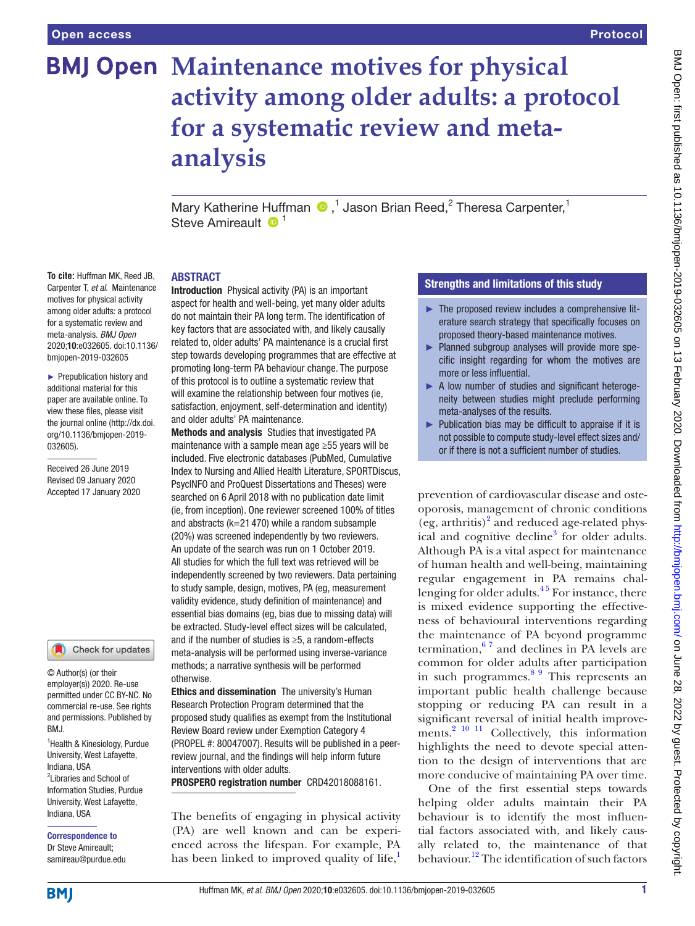# **BMJ Open Maintenance motives for physical activity among older adults: a protocol for a systematic review and metaanalysis**

MaryKatherine Huffman <sup>®</sup>,<sup>1</sup> Jason Brian Reed,<sup>2</sup> Theresa Carpenter,<sup>1</sup> Steve Amireault  $\mathbf{D}^1$ 

#### **ABSTRACT**

**To cite:** Huffman MK, Reed JB, Carpenter T, *et al*. Maintenance motives for physical activity among older adults: a protocol for a systematic review and meta-analysis. *BMJ Open* 2020;10:e032605. doi:10.1136/ bmjopen-2019-032605

► Prepublication history and additional material for this paper are available online. To view these files, please visit the journal online (http://dx.doi. org/10.1136/bmjopen-2019- 032605).

Received 26 June 2019 Revised 09 January 2020 Accepted 17 January 2020

#### Check for updates

© Author(s) (or their employer(s)) 2020. Re-use permitted under CC BY-NC. No commercial re-use. See rights and permissions. Published by RM<sub>J</sub>

<sup>1</sup> Health & Kinesiology, Purdue University, West Lafayette, Indiana, USA <sup>2</sup>Libraries and School of Information Studies, Purdue University, West Lafayette, Indiana, USA

Correspondence to Dr Steve Amireault; samireau@purdue.edu Introduction Physical activity (PA) is an important aspect for health and well-being, yet many older adults do not maintain their PA long term. The identification of key factors that are associated with, and likely causally related to, older adults' PA maintenance is a crucial first step towards developing programmes that are effective at promoting long-term PA behaviour change. The purpose of this protocol is to outline a systematic review that will examine the relationship between four motives (ie, satisfaction, enjoyment, self-determination and identity) and older adults' PA maintenance.

Methods and analysis Studies that investigated PA maintenance with a sample mean age ≥55 years will be included. Five electronic databases (PubMed, Cumulative Index to Nursing and Allied Health Literature, SPORTDiscus, PsycINFO and ProQuest Dissertations and Theses) were searched on 6 April 2018 with no publication date limit (ie, from inception). One reviewer screened 100% of titles and abstracts (k=21 470) while a random subsample (20%) was screened independently by two reviewers. An update of the search was run on 1 October 2019. All studies for which the full text was retrieved will be independently screened by two reviewers. Data pertaining to study sample, design, motives, PA (eg, measurement validity evidence, study definition of maintenance) and essential bias domains (eg, bias due to missing data) will be extracted. Study-level effect sizes will be calculated, and if the number of studies is ≥5, a random-effects meta-analysis will be performed using inverse-variance methods; a narrative synthesis will be performed otherwise.

**Ethics and dissemination** The university's Human Research Protection Program determined that the proposed study qualifies as exempt from the Institutional Review Board review under Exemption Category 4 (PROPEL #: 80047007). Results will be published in a peerreview journal, and the findings will help inform future interventions with older adults.

PROSPERO registration number CRD42018088161.

The benefits of engaging in physical activity (PA) are well known and can be experienced across the lifespan. For example, PA has been linked to improved quality of life, $\frac{1}{2}$  $\frac{1}{2}$  $\frac{1}{2}$ 

#### Strengths and limitations of this study

- $\blacktriangleright$  The proposed review includes a comprehensive literature search strategy that specifically focuses on proposed theory-based maintenance motives.
- ► Planned subgroup analyses will provide more specific insight regarding for whom the motives are more or less influential.
- ► A low number of studies and significant heterogeneity between studies might preclude performing meta-analyses of the results.
- ► Publication bias may be difficult to appraise if it is not possible to compute study-level effect sizes and/ or if there is not a sufficient number of studies.

prevention of cardiovascular disease and osteoporosis, management of chronic conditions (eg, arthritis)<sup>2</sup> and reduced age-related physical and cognitive decline<sup>3</sup> for older adults. Although PA is a vital aspect for maintenance of human health and well-being, maintaining regular engagement in PA remains challenging for older adults. $45$  For instance, there is mixed evidence supporting the effectiveness of behavioural interventions regarding the maintenance of PA beyond programme termination, $67$  and declines in PA levels are common for older adults after participation in such programmes.[8 9](#page-5-5) This represents an important public health challenge because stopping or reducing PA can result in a significant reversal of initial health improvements. $^{2}$  10 <sup>11</sup> Collectively, this information highlights the need to devote special attention to the design of interventions that are more conducive of maintaining PA over time.

One of the first essential steps towards helping older adults maintain their PA behaviour is to identify the most influential factors associated with, and likely causally related to, the maintenance of that behaviour.<sup>12</sup> The identification of such factors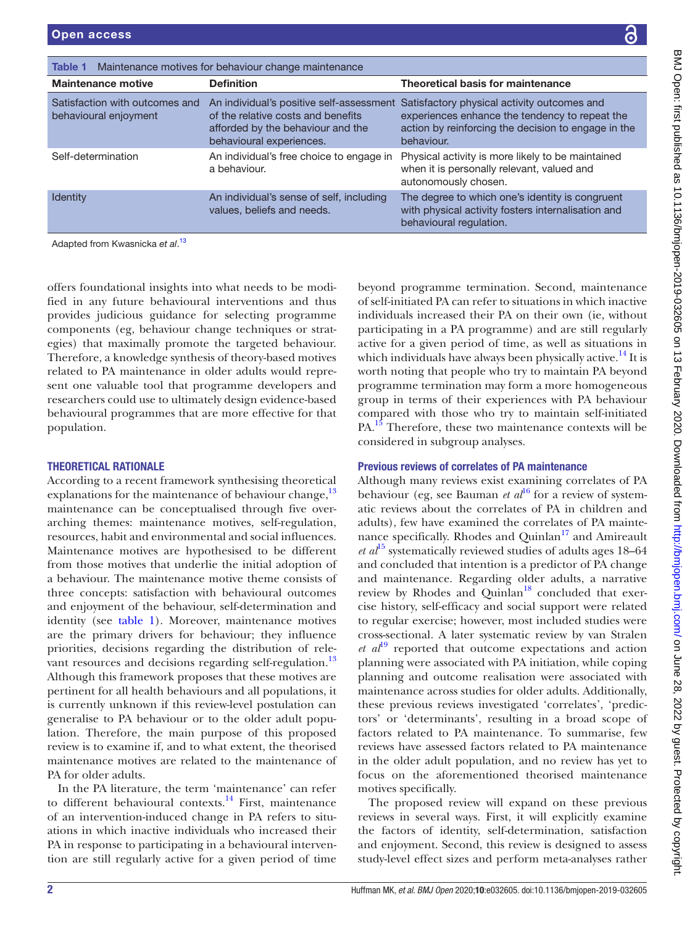| nce                                                                                                     |                                                                                                                                                                                                                                                                                                                                                                                                                                                                                                                                                                                                                           |
|---------------------------------------------------------------------------------------------------------|---------------------------------------------------------------------------------------------------------------------------------------------------------------------------------------------------------------------------------------------------------------------------------------------------------------------------------------------------------------------------------------------------------------------------------------------------------------------------------------------------------------------------------------------------------------------------------------------------------------------------|
|                                                                                                         | <b>Theoretical basis for maintenance</b>                                                                                                                                                                                                                                                                                                                                                                                                                                                                                                                                                                                  |
| efits<br>d the                                                                                          | ssessment Satisfactory physical activity outcomes and<br>experiences enhance the tendency to repeat the<br>action by reinforcing the decision to engage in the<br>behaviour.                                                                                                                                                                                                                                                                                                                                                                                                                                              |
| engage in                                                                                               | Physical activity is more likely to be maintained<br>when it is personally relevant, valued and<br>autonomously chosen.                                                                                                                                                                                                                                                                                                                                                                                                                                                                                                   |
| ncluding                                                                                                | The degree to which one's identity is congruent<br>with physical activity fosters internalisation and<br>behavioural regulation.                                                                                                                                                                                                                                                                                                                                                                                                                                                                                          |
|                                                                                                         | beyond programme termination. Second, maintenance<br>of self-initiated PA can refer to situations in which inactive<br>individuals increased their PA on their own (ie, without<br>participating in a PA programme) and are still regularly<br>active for a given period of time, as well as situations in<br>which individuals have always been physically active. <sup>14</sup> It is<br>worth noting that people who try to maintain PA beyond<br>programme termination may form a more homogeneous<br>group in terms of their experiences with PA behaviour<br>compared with those who try to maintain self-initiated |
| PA. <sup>15</sup> Therefore, these two maintenance contexts will be<br>considered in subgroup analyses. |                                                                                                                                                                                                                                                                                                                                                                                                                                                                                                                                                                                                                           |

## Previous reviews of correlates of PA maintenance

Although many reviews exist examining correlates of PA behaviour (eg, see Bauman *et al*<sup>[16](#page-5-10)</sup> for a review of systematic reviews about the correlates of PA in children and adults), few have examined the correlates of PA maintenance specifically. Rhodes and Quinlan<sup>17</sup> and Amireault *et al*[15](#page-5-9) systematically reviewed studies of adults ages 18–64 and concluded that intention is a predictor of PA change and maintenance. Regarding older adults, a narrative review by Rhodes and Quinlan<sup>18</sup> concluded that exercise history, self-efficacy and social support were related to regular exercise; however, most included studies were cross-sectional. A later systematic review by van Stralen *et al*[19](#page-5-13) reported that outcome expectations and action planning were associated with PA initiation, while coping planning and outcome realisation were associated with maintenance across studies for older adults. Additionally, these previous reviews investigated 'correlates', 'predictors' or 'determinants', resulting in a broad scope of factors related to PA maintenance. To summarise, few reviews have assessed factors related to PA maintenance in the older adult population, and no review has yet to focus on the aforementioned theorised maintenance motives specifically.

The proposed review will expand on these previous reviews in several ways. First, it will explicitly examine the factors of identity, self-determination, satisfaction and enjoyment. Second, this review is designed to assess study-level effect sizes and perform meta-analyses rather

offers foundational insights into what needs to be modified in any future behavioural interventions and thus provides judicious guidance for selecting programme components (eg, behaviour change techniques or strategies) that maximally promote the targeted behaviour. Therefore, a knowledge synthesis of theory-based motives related to PA maintenance in older adults would represent one valuable tool that programme developers and researchers could use to ultimately design evidence-based behavioural programmes that are more effective for that population.

<span id="page-1-0"></span>Table 1 Maintenance motives for behaviour change maintenance

Self-determination An individual's free choice to

Identity **An individual's sense of self,** including the anti-

a behaviour.

An individual's positive self-a of the relative costs and bene afforded by the behaviour an behavioural experiences.

values, beliefs and needs.

Maintenance motive **Definition** 

Satisfaction with outcomes and

Adapted from Kwasnicka *et al*. [13](#page-5-7)

behavioural enjoyment

# THEORETICAL RATIONALE

According to a recent framework synthesising theoretical explanations for the maintenance of behaviour change, $13$ maintenance can be conceptualised through five overarching themes: maintenance motives, self-regulation, resources, habit and environmental and social influences. Maintenance motives are hypothesised to be different from those motives that underlie the initial adoption of a behaviour. The maintenance motive theme consists of three concepts: satisfaction with behavioural outcomes and enjoyment of the behaviour, self-determination and identity (see [table](#page-1-0) 1). Moreover, maintenance motives are the primary drivers for behaviour; they influence priorities, decisions regarding the distribution of rele-vant resources and decisions regarding self-regulation.<sup>[13](#page-5-7)</sup> Although this framework proposes that these motives are pertinent for all health behaviours and all populations, it is currently unknown if this review-level postulation can generalise to PA behaviour or to the older adult population. Therefore, the main purpose of this proposed review is to examine if, and to what extent, the theorised maintenance motives are related to the maintenance of PA for older adults.

In the PA literature, the term 'maintenance' can refer to different behavioural contexts.<sup>14</sup> First, maintenance of an intervention-induced change in PA refers to situations in which inactive individuals who increased their PA in response to participating in a behavioural intervention are still regularly active for a given period of time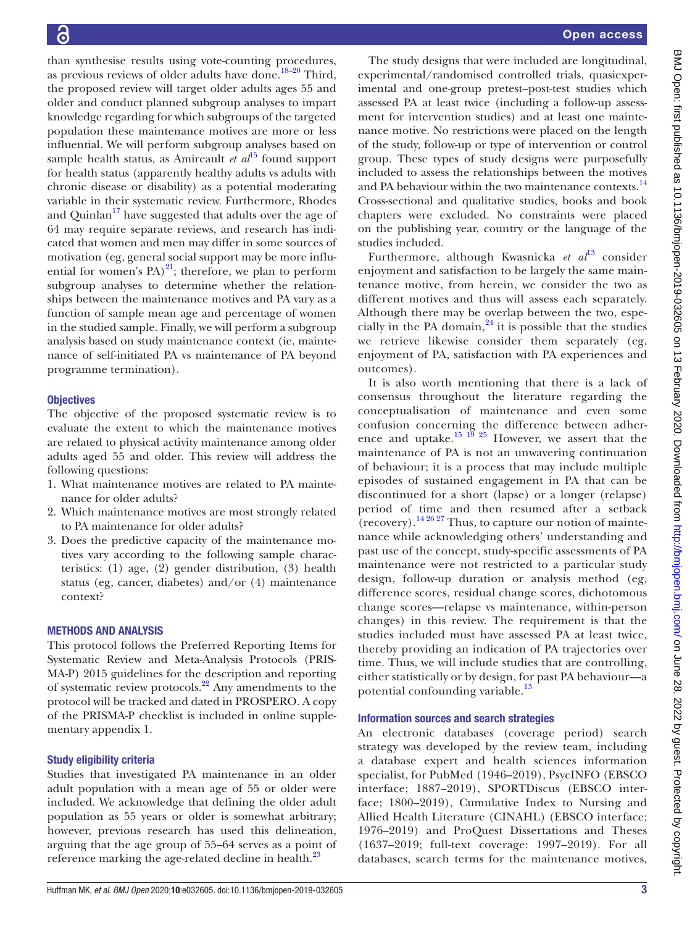than synthesise results using vote-counting procedures, as previous reviews of older adults have done. $18-20$  Third, the proposed review will target older adults ages 55 and older and conduct planned subgroup analyses to impart knowledge regarding for which subgroups of the targeted population these maintenance motives are more or less influential. We will perform subgroup analyses based on sample health status, as Amireault *et al*<sup>15</sup> found support for health status (apparently healthy adults vs adults with chronic disease or disability) as a potential moderating variable in their systematic review. Furthermore, Rhodes and Quinlan<sup>17</sup> have suggested that adults over the age of 64 may require separate reviews, and research has indicated that women and men may differ in some sources of motivation (eg, general social support may be more influential for women's PA $)^{21}$ ; therefore, we plan to perform subgroup analyses to determine whether the relationships between the maintenance motives and PA vary as a function of sample mean age and percentage of women in the studied sample. Finally, we will perform a subgroup analysis based on study maintenance context (ie, maintenance of self-initiated PA vs maintenance of PA beyond programme termination).

#### **Objectives**

The objective of the proposed systematic review is to evaluate the extent to which the maintenance motives are related to physical activity maintenance among older adults aged 55 and older. This review will address the following questions:

- 1. What maintenance motives are related to PA maintenance for older adults?
- 2. Which maintenance motives are most strongly related to PA maintenance for older adults?
- 3. Does the predictive capacity of the maintenance motives vary according to the following sample characteristics: (1) age, (2) gender distribution, (3) health status (eg, cancer, diabetes) and/or (4) maintenance context?

#### Methods and analysis

This protocol follows the Preferred Reporting Items for Systematic Review and Meta-Analysis Protocols (PRIS-MA-P) 2015 guidelines for the description and reporting of systematic review protocols.<sup>22</sup> Any amendments to the protocol will be tracked and dated in PROSPERO. A copy of the PRISMA-P checklist is included in [online supple](https://dx.doi.org/10.1136/bmjopen-2019-032605)[mentary appendix 1](https://dx.doi.org/10.1136/bmjopen-2019-032605).

#### Study eligibility criteria

Studies that investigated PA maintenance in an older adult population with a mean age of 55 or older were included. We acknowledge that defining the older adult population as 55 years or older is somewhat arbitrary; however, previous research has used this delineation, arguing that the age group of 55–64 serves as a point of reference marking the age-related decline in health.<sup>[23](#page-5-16)</sup>

The study designs that were included are longitudinal, experimental/randomised controlled trials, quasiexperimental and one-group pretest–post-test studies which assessed PA at least twice (including a follow-up assessment for intervention studies) and at least one maintenance motive. No restrictions were placed on the length of the study, follow-up or type of intervention or control group. These types of study designs were purposefully included to assess the relationships between the motives and PA behaviour within the two maintenance contexts.<sup>[14](#page-5-8)</sup> Cross-sectional and qualitative studies, books and book chapters were excluded. No constraints were placed on the publishing year, country or the language of the studies included.

Furthermore, although Kwasnicka et al<sup>[13](#page-5-7)</sup> consider enjoyment and satisfaction to be largely the same maintenance motive, from herein, we consider the two as different motives and thus will assess each separately. Although there may be overlap between the two, especially in the PA domain, $24$  it is possible that the studies we retrieve likewise consider them separately (eg, enjoyment of PA, satisfaction with PA experiences and outcomes).

It is also worth mentioning that there is a lack of consensus throughout the literature regarding the conceptualisation of maintenance and even some confusion concerning the difference between adherence and uptake.<sup>15 19</sup> <sup>25</sup> However, we assert that the maintenance of PA is not an unwavering continuation of behaviour; it is a process that may include multiple episodes of sustained engagement in PA that can be discontinued for a short (lapse) or a longer (relapse) period of time and then resumed after a setback  $r$  (recovery).<sup>[14 26 27](#page-5-8)</sup> Thus, to capture our notion of maintenance while acknowledging others' understanding and past use of the concept, study-specific assessments of PA maintenance were not restricted to a particular study design, follow-up duration or analysis method (eg, difference scores, residual change scores, dichotomous change scores—relapse vs maintenance, within-person changes) in this review. The requirement is that the studies included must have assessed PA at least twice, thereby providing an indication of PA trajectories over time. Thus, we will include studies that are controlling, either statistically or by design, for past PA behaviour—a potential confounding variable.<sup>[13](#page-5-7)</sup>

#### Information sources and search strategies

An electronic databases (coverage period) search strategy was developed by the review team, including a database expert and health sciences information specialist, for PubMed (1946–2019), PsycINFO (EBSCO interface; 1887–2019), SPORTDiscus (EBSCO interface; 1800–2019), Cumulative Index to Nursing and Allied Health Literature (CINAHL) (EBSCO interface; 1976–2019) and ProQuest Dissertations and Theses (1637–2019; full-text coverage: 1997–2019). For all databases, search terms for the maintenance motives,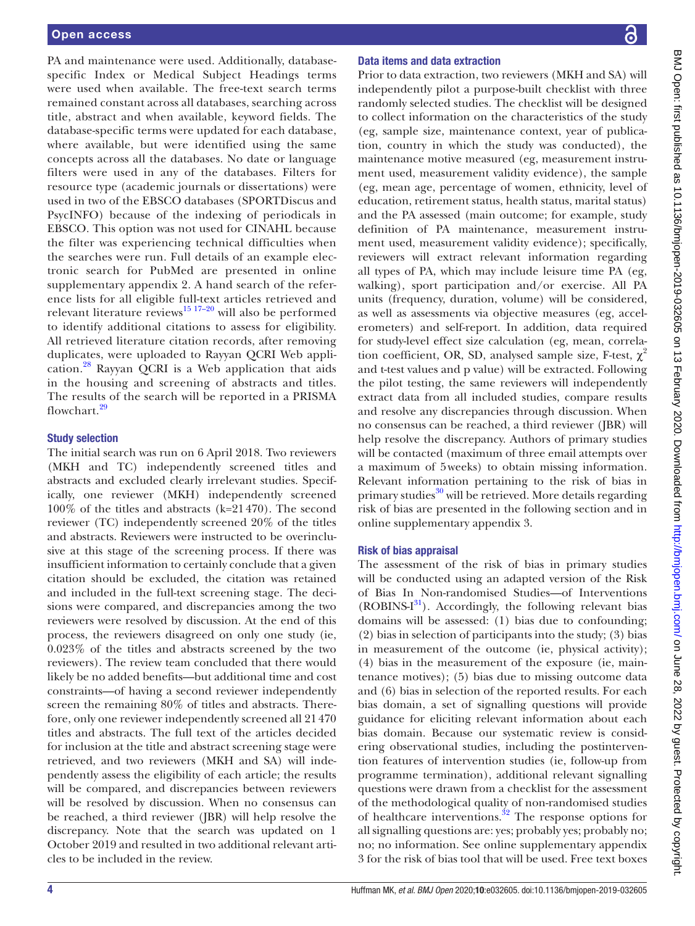PA and maintenance were used. Additionally, databasespecific Index or Medical Subject Headings terms were used when available. The free-text search terms remained constant across all databases, searching across title, abstract and when available, keyword fields. The database-specific terms were updated for each database, where available, but were identified using the same concepts across all the databases. No date or language filters were used in any of the databases. Filters for resource type (academic journals or dissertations) were used in two of the EBSCO databases (SPORTDiscus and PsycINFO) because of the indexing of periodicals in EBSCO. This option was not used for CINAHL because the filter was experiencing technical difficulties when the searches were run. Full details of an example electronic search for PubMed are presented in [online](https://dx.doi.org/10.1136/bmjopen-2019-032605) [supplementary appendix 2.](https://dx.doi.org/10.1136/bmjopen-2019-032605) A hand search of the reference lists for all eligible full-text articles retrieved and relevant literature reviews $^{15}$  17-20 will also be performed to identify additional citations to assess for eligibility. All retrieved literature citation records, after removing duplicates, were uploaded to Rayyan QCRI Web application.[28](#page-5-18) Rayyan QCRI is a Web application that aids in the housing and screening of abstracts and titles. The results of the search will be reported in a PRISMA flowchart.<sup>[29](#page-5-19)</sup>

#### Study selection

The initial search was run on 6 April 2018. Two reviewers (MKH and TC) independently screened titles and abstracts and excluded clearly irrelevant studies. Specifically, one reviewer (MKH) independently screened 100% of the titles and abstracts (k=21470). The second reviewer (TC) independently screened 20% of the titles and abstracts. Reviewers were instructed to be overinclusive at this stage of the screening process. If there was insufficient information to certainly conclude that a given citation should be excluded, the citation was retained and included in the full-text screening stage. The decisions were compared, and discrepancies among the two reviewers were resolved by discussion. At the end of this process, the reviewers disagreed on only one study (ie, 0.023% of the titles and abstracts screened by the two reviewers). The review team concluded that there would likely be no added benefits—but additional time and cost constraints—of having a second reviewer independently screen the remaining 80% of titles and abstracts. Therefore, only one reviewer independently screened all 21470 titles and abstracts. The full text of the articles decided for inclusion at the title and abstract screening stage were retrieved, and two reviewers (MKH and SA) will independently assess the eligibility of each article; the results will be compared, and discrepancies between reviewers will be resolved by discussion. When no consensus can be reached, a third reviewer (JBR) will help resolve the discrepancy. Note that the search was updated on 1 October 2019 and resulted in two additional relevant articles to be included in the review.

#### Data items and data extraction

Prior to data extraction, two reviewers (MKH and SA) will independently pilot a purpose-built checklist with three randomly selected studies. The checklist will be designed to collect information on the characteristics of the study (eg, sample size, maintenance context, year of publication, country in which the study was conducted), the maintenance motive measured (eg, measurement instrument used, measurement validity evidence), the sample (eg, mean age, percentage of women, ethnicity, level of education, retirement status, health status, marital status) and the PA assessed (main outcome; for example, study definition of PA maintenance, measurement instrument used, measurement validity evidence); specifically, reviewers will extract relevant information regarding all types of PA, which may include leisure time PA (eg, walking), sport participation and/or exercise. All PA units (frequency, duration, volume) will be considered, as well as assessments via objective measures (eg, accelerometers) and self-report. In addition, data required for study-level effect size calculation (eg, mean, correlation coefficient, OR, SD, analysed sample size, F-test,  $\chi^2$ and t-test values and p value) will be extracted. Following the pilot testing, the same reviewers will independently extract data from all included studies, compare results and resolve any discrepancies through discussion. When no consensus can be reached, a third reviewer (JBR) will help resolve the discrepancy. Authors of primary studies will be contacted (maximum of three email attempts over a maximum of 5weeks) to obtain missing information. Relevant information pertaining to the risk of bias in primary studies $30$  will be retrieved. More details regarding risk of bias are presented in the following section and in [online supplementary appendix 3](https://dx.doi.org/10.1136/bmjopen-2019-032605).

#### Risk of bias appraisal

The assessment of the risk of bias in primary studies will be conducted using an adapted version of the Risk of Bias In Non-randomised Studies—of Interventions (ROBINS-I [31\)](#page-5-21). Accordingly, the following relevant bias domains will be assessed: (1) bias due to confounding; (2) bias in selection of participants into the study; (3) bias in measurement of the outcome (ie, physical activity); (4) bias in the measurement of the exposure (ie, maintenance motives); (5) bias due to missing outcome data and (6) bias in selection of the reported results. For each bias domain, a set of signalling questions will provide guidance for eliciting relevant information about each bias domain. Because our systematic review is considering observational studies, including the postintervention features of intervention studies (ie, follow-up from programme termination), additional relevant signalling questions were drawn from a checklist for the assessment of the methodological quality of non-randomised studies of healthcare interventions.<sup>[32](#page-5-22)</sup> The response options for all signalling questions are: yes; probably yes; probably no; no; no information. See [online supplementary appendix](https://dx.doi.org/10.1136/bmjopen-2019-032605)  [3](https://dx.doi.org/10.1136/bmjopen-2019-032605) for the risk of bias tool that will be used. Free text boxes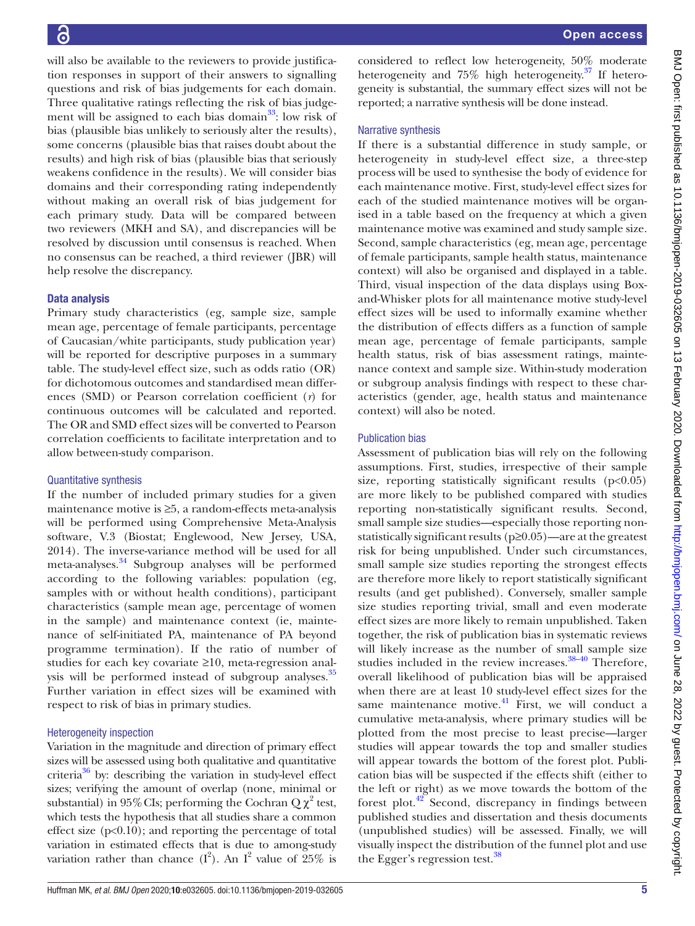BMJ Open: first published as 10.1136/bmjopen-2019-032605 on 13 February 2020. Downloaded from http://bmjopen.bmj.com/ on June 28, 2022 by guest. Protected by copyright BMJ Open: first published as 10.1136/bmjopen-2019-032605 on 13 February 2020. Downloaded from <http://bmjopen.bmj.com/> on June 28, 2022 by guest. Protected by copyright.

will also be available to the reviewers to provide justification responses in support of their answers to signalling questions and risk of bias judgements for each domain. Three qualitative ratings reflecting the risk of bias judgement will be assigned to each bias domain $33$ : low risk of bias (plausible bias unlikely to seriously alter the results), some concerns (plausible bias that raises doubt about the results) and high risk of bias (plausible bias that seriously weakens confidence in the results). We will consider bias domains and their corresponding rating independently without making an overall risk of bias judgement for each primary study. Data will be compared between two reviewers (MKH and SA), and discrepancies will be resolved by discussion until consensus is reached. When no consensus can be reached, a third reviewer (JBR) will help resolve the discrepancy.

#### Data analysis

Primary study characteristics (eg, sample size, sample mean age, percentage of female participants, percentage of Caucasian/white participants, study publication year) will be reported for descriptive purposes in a summary table. The study-level effect size, such as odds ratio (OR) for dichotomous outcomes and standardised mean differences (SMD) or Pearson correlation coefficient (*r*) for continuous outcomes will be calculated and reported. The OR and SMD effect sizes will be converted to Pearson correlation coefficients to facilitate interpretation and to allow between-study comparison.

#### Quantitative synthesis

If the number of included primary studies for a given maintenance motive is ≥5, a random-effects meta-analysis will be performed using Comprehensive Meta-Analysis software, V.3 (Biostat; Englewood, New Jersey, USA, 2014). The inverse-variance method will be used for all meta-analyses.<sup>34</sup> Subgroup analyses will be performed according to the following variables: population (eg, samples with or without health conditions), participant characteristics (sample mean age, percentage of women in the sample) and maintenance context (ie, maintenance of self-initiated PA, maintenance of PA beyond programme termination). If the ratio of number of studies for each key covariate ≥10, meta-regression analysis will be performed instead of subgroup analyses.<sup>35</sup> Further variation in effect sizes will be examined with respect to risk of bias in primary studies.

#### Heterogeneity inspection

Variation in the magnitude and direction of primary effect sizes will be assessed using both qualitative and quantitative criteria $36$  by: describing the variation in study-level effect sizes; verifying the amount of overlap (none, minimal or substantial) in 95% CIs; performing the Cochran  $Q\chi^2$  test, which tests the hypothesis that all studies share a common effect size  $(p<0.10)$ ; and reporting the percentage of total variation in estimated effects that is due to among-study variation rather than chance  $(I^2)$ . An  $I^2$  value of 25% is considered to reflect low heterogeneity, 50% moderate heterogeneity and  $75\%$  high heterogeneity.<sup>[37](#page-6-4)</sup> If heterogeneity is substantial, the summary effect sizes will not be reported; a narrative synthesis will be done instead.

#### Narrative synthesis

If there is a substantial difference in study sample, or heterogeneity in study-level effect size, a three-step process will be used to synthesise the body of evidence for each maintenance motive. First, study-level effect sizes for each of the studied maintenance motives will be organised in a table based on the frequency at which a given maintenance motive was examined and study sample size. Second, sample characteristics (eg, mean age, percentage of female participants, sample health status, maintenance context) will also be organised and displayed in a table. Third, visual inspection of the data displays using Boxand-Whisker plots for all maintenance motive study-level effect sizes will be used to informally examine whether the distribution of effects differs as a function of sample mean age, percentage of female participants, sample health status, risk of bias assessment ratings, maintenance context and sample size. Within-study moderation or subgroup analysis findings with respect to these characteristics (gender, age, health status and maintenance context) will also be noted.

#### Publication bias

Assessment of publication bias will rely on the following assumptions. First, studies, irrespective of their sample size, reporting statistically significant results  $(p<0.05)$ are more likely to be published compared with studies reporting non-statistically significant results. Second, small sample size studies—especially those reporting nonstatistically significant results (p≥0.05)—are at the greatest risk for being unpublished. Under such circumstances, small sample size studies reporting the strongest effects are therefore more likely to report statistically significant results (and get published). Conversely, smaller sample size studies reporting trivial, small and even moderate effect sizes are more likely to remain unpublished. Taken together, the risk of publication bias in systematic reviews will likely increase as the number of small sample size studies included in the review increases.<sup>38-40</sup> Therefore, overall likelihood of publication bias will be appraised when there are at least 10 study-level effect sizes for the same maintenance motive. $^{41}$  First, we will conduct a cumulative meta-analysis, where primary studies will be plotted from the most precise to least precise—larger studies will appear towards the top and smaller studies will appear towards the bottom of the forest plot. Publication bias will be suspected if the effects shift (either to the left or right) as we move towards the bottom of the forest plot. $42^{\circ}$  Second, discrepancy in findings between published studies and dissertation and thesis documents (unpublished studies) will be assessed. Finally, we will visually inspect the distribution of the funnel plot and use the Egger's regression test.<sup>38</sup>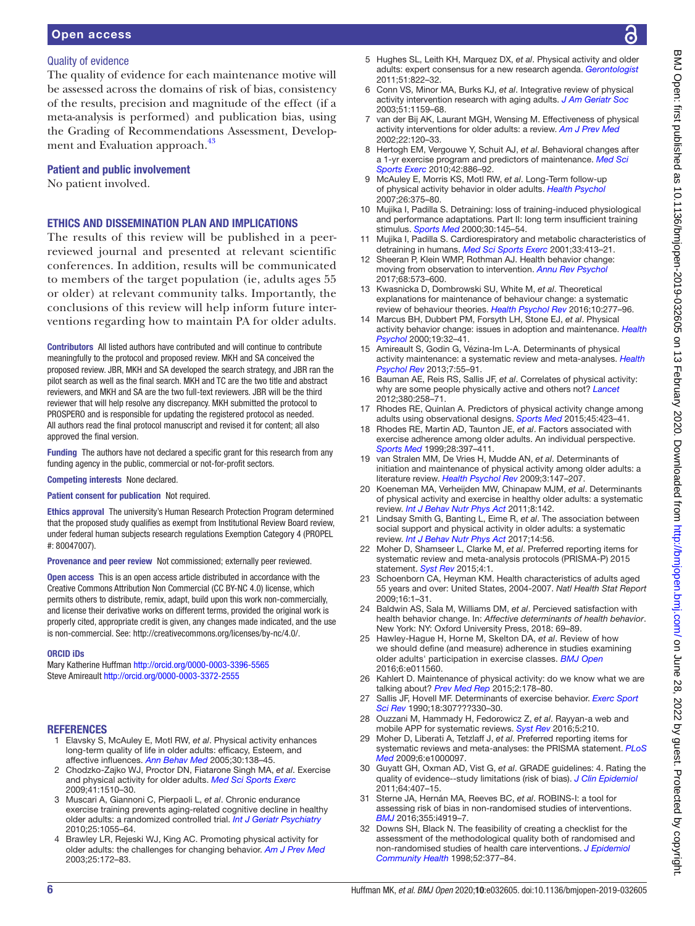#### Open access

#### Quality of evidence

The quality of evidence for each maintenance motive will be assessed across the domains of risk of bias, consistency of the results, precision and magnitude of the effect (if a meta-analysis is performed) and publication bias, using the Grading of Recommendations Assessment, Develop-ment and Evaluation approach.<sup>[43](#page-6-8)</sup>

#### Patient and public involvement

No patient involved.

## Ethics and dissemination plan and implications

The results of this review will be published in a peerreviewed journal and presented at relevant scientific conferences. In addition, results will be communicated to members of the target population (ie, adults ages 55 or older) at relevant community talks. Importantly, the conclusions of this review will help inform future interventions regarding how to maintain PA for older adults.

Contributors All listed authors have contributed and will continue to contribute meaningfully to the protocol and proposed review. MKH and SA conceived the proposed review. JBR, MKH and SA developed the search strategy, and JBR ran the pilot search as well as the final search. MKH and TC are the two title and abstract reviewers, and MKH and SA are the two full-text reviewers. JBR will be the third reviewer that will help resolve any discrepancy. MKH submitted the protocol to PROSPERO and is responsible for updating the registered protocol as needed. All authors read the final protocol manuscript and revised it for content; all also approved the final version.

Funding The authors have not declared a specific grant for this research from any funding agency in the public, commercial or not-for-profit sectors.

Competing interests None declared.

#### Patient consent for publication Not required.

Ethics approval The university's Human Research Protection Program determined that the proposed study qualifies as exempt from Institutional Review Board review, under federal human subjects research regulations Exemption Category 4 (PROPEL #: 80047007).

Provenance and peer review Not commissioned; externally peer reviewed.

Open access This is an open access article distributed in accordance with the Creative Commons Attribution Non Commercial (CC BY-NC 4.0) license, which permits others to distribute, remix, adapt, build upon this work non-commercially, and license their derivative works on different terms, provided the original work is properly cited, appropriate credit is given, any changes made indicated, and the use is non-commercial. See: [http://creativecommons.org/licenses/by-nc/4.0/.](http://creativecommons.org/licenses/by-nc/4.0/)

#### ORCID iDs

Mary Katherine Huffman <http://orcid.org/0000-0003-3396-5565> Steve Amireault<http://orcid.org/0000-0003-3372-2555>

#### **REFERENCES**

- <span id="page-5-0"></span>1 Elavsky S, McAuley E, Motl RW, *et al*. Physical activity enhances long-term quality of life in older adults: efficacy, Esteem, and affective influences. *[Ann Behav Med](http://dx.doi.org/10.1207/s15324796abm3002_6)* 2005;30:138–45.
- <span id="page-5-1"></span>2 Chodzko-Zajko WJ, Proctor DN, Fiatarone Singh MA, *et al*. Exercise and physical activity for older adults. *[Med Sci Sports Exerc](http://dx.doi.org/10.1249/MSS.0b013e3181a0c95c)* 2009;41:1510–30.
- <span id="page-5-2"></span>3 Muscari A, Giannoni C, Pierpaoli L, *et al*. Chronic endurance exercise training prevents aging-related cognitive decline in healthy older adults: a randomized controlled trial. *[Int J Geriatr Psychiatry](http://dx.doi.org/10.1002/gps.2462)* 2010;25:1055–64.
- <span id="page-5-3"></span>4 Brawley LR, Rejeski WJ, King AC. Promoting physical activity for older adults: the challenges for changing behavior. *[Am J Prev Med](http://dx.doi.org/10.1016/S0749-3797(03)00182-X)* 2003;25:172–83.
- 5 Hughes SL, Leith KH, Marquez DX, *et al*. Physical activity and older adults: expert consensus for a new research agenda. *[Gerontologist](http://dx.doi.org/10.1093/geront/gnr106)* 2011;51:822–32.
- <span id="page-5-4"></span>6 Conn VS, Minor MA, Burks KJ, *et al*. Integrative review of physical activity intervention research with aging adults. *[J Am Geriatr Soc](http://dx.doi.org/10.1046/j.1532-5415.2003.51365.x)* 2003;51:1159–68.
- 7 van der Bij AK, Laurant MGH, Wensing M. Effectiveness of physical activity interventions for older adults: a review. *[Am J Prev Med](http://dx.doi.org/10.1016/S0749-3797(01)00413-5)* 2002;22:120–33.
- <span id="page-5-5"></span>8 Hertogh EM, Vergouwe Y, Schuit AJ, *et al*. Behavioral changes after a 1-yr exercise program and predictors of maintenance. *[Med Sci](http://dx.doi.org/10.1249/MSS.0b013e3181c4d964)  [Sports Exerc](http://dx.doi.org/10.1249/MSS.0b013e3181c4d964)* 2010;42:886–92.
- 9 McAuley E, Morris KS, Motl RW, *et al*. Long-Term follow-up of physical activity behavior in older adults. *[Health Psychol](http://dx.doi.org/10.1037/0278-6133.26.3.375)* 2007;26:375–80.
- 10 Mujika I, Padilla S. Detraining: loss of training-induced physiological and performance adaptations. Part II: long term insufficient training stimulus. *[Sports Med](http://dx.doi.org/10.2165/00007256-200030030-00001)* 2000;30:145–54.
- 11 Mujika I, Padilla S. Cardiorespiratory and metabolic characteristics of detraining in humans. *[Med Sci Sports Exerc](http://dx.doi.org/10.1097/00005768-200103000-00013)* 2001;33:413–21.
- <span id="page-5-6"></span>12 Sheeran P, Klein WMP, Rothman AJ. Health behavior change: moving from observation to intervention. *[Annu Rev Psychol](http://dx.doi.org/10.1146/annurev-psych-010416-044007)* 2017;68:573–600.
- <span id="page-5-7"></span>13 Kwasnicka D, Dombrowski SU, White M, *et al*. Theoretical explanations for maintenance of behaviour change: a systematic review of behaviour theories. *[Health Psychol Rev](http://dx.doi.org/10.1080/17437199.2016.1151372)* 2016;10:277–96.
- <span id="page-5-8"></span>14 Marcus BH, Dubbert PM, Forsyth LH, Stone EJ, *et al*. Physical activity behavior change: issues in adoption and maintenance. *[Health](http://dx.doi.org/10.1037/0278-6133.19.Suppl1.32)  [Psychol](http://dx.doi.org/10.1037/0278-6133.19.Suppl1.32)* 2000;19:32–41.
- <span id="page-5-9"></span>15 Amireault S, Godin G, Vézina-Im L-A. Determinants of physical activity maintenance: a systematic review and meta-analyses. *[Health](http://dx.doi.org/10.1080/17437199.2012.701060)  [Psychol Rev](http://dx.doi.org/10.1080/17437199.2012.701060)* 2013;7:55–91.
- <span id="page-5-10"></span>16 Bauman AE, Reis RS, Sallis JF, *et al*. Correlates of physical activity: why are some people physically active and others not? *[Lancet](http://dx.doi.org/10.1016/S0140-6736(12)60735-1)* 2012;380:258–71.
- <span id="page-5-11"></span>17 Rhodes RE, Quinlan A. Predictors of physical activity change among adults using observational designs. *[Sports Med](http://dx.doi.org/10.1007/s40279-014-0275-6)* 2015;45:423–41.
- <span id="page-5-12"></span>18 Rhodes RE, Martin AD, Taunton JE, *et al*. Factors associated with exercise adherence among older adults. An individual perspective. *[Sports Med](http://dx.doi.org/10.2165/00007256-199928060-00003)* 1999;28:397–411.
- <span id="page-5-13"></span>19 van Stralen MM, De Vries H, Mudde AN, *et al*. Determinants of initiation and maintenance of physical activity among older adults: a literature review. *[Health Psychol Rev](http://dx.doi.org/10.1080/17437190903229462)* 2009;3:147–207.
- 20 Koeneman MA, Verheijden MW, Chinapaw MJM, *et al*. Determinants of physical activity and exercise in healthy older adults: a systematic review. *[Int J Behav Nutr Phys Act](http://dx.doi.org/10.1186/1479-5868-8-142)* 2011;8:142.
- <span id="page-5-14"></span>21 Lindsay Smith G, Banting L, Eime R, *et al*. The association between social support and physical activity in older adults: a systematic review. *[Int J Behav Nutr Phys Act](http://dx.doi.org/10.1186/s12966-017-0509-8)* 2017;14:56.
- <span id="page-5-15"></span>22 Moher D, Shamseer L, Clarke M, *et al*. Preferred reporting items for systematic review and meta-analysis protocols (PRISMA-P) 2015 statement. *[Syst Rev](http://dx.doi.org/10.1186/2046-4053-4-1)* 2015;4:1.
- <span id="page-5-16"></span>23 Schoenborn CA, Heyman KM. Health characteristics of adults aged 55 years and over: United States, 2004-2007. *Natl Health Stat Report* 2009;16:1–31.
- <span id="page-5-17"></span>24 Baldwin AS, Sala M, Williams DM, *et al*. Percieved satisfaction with health behavior change. In: *Affective determinants of health behavior*. New York: NY: Oxford University Press, 2018: 69–89.
- 25 Hawley-Hague H, Horne M, Skelton DA, *et al*. Review of how we should define (and measure) adherence in studies examining older adults' participation in exercise classes. *[BMJ Open](http://dx.doi.org/10.1136/bmjopen-2016-011560)* 2016;6:e011560.
- 26 Kahlert D. Maintenance of physical activity: do we know what we are talking about? *[Prev Med Rep](http://dx.doi.org/10.1016/j.pmedr.2015.02.013)* 2015;2:178–80.
- 27 Sallis JF, Hovell MF. Determinants of exercise behavior. *[Exerc Sport](http://dx.doi.org/10.1249/00003677-199001000-00014)  [Sci Rev](http://dx.doi.org/10.1249/00003677-199001000-00014)* 1990;18:307???330–30.
- <span id="page-5-18"></span>28 Ouzzani M, Hammady H, Fedorowicz Z, *et al*. Rayyan-a web and mobile APP for systematic reviews. *[Syst Rev](http://dx.doi.org/10.1186/s13643-016-0384-4)* 2016;5:210.
- <span id="page-5-19"></span>29 Moher D, Liberati A, Tetzlaff J, *et al*. Preferred reporting items for systematic reviews and meta-analyses: the PRISMA statement. *[PLoS](http://dx.doi.org/10.1371/journal.pmed.1000097)  [Med](http://dx.doi.org/10.1371/journal.pmed.1000097)* 2009;6:e1000097.
- <span id="page-5-20"></span>30 Guyatt GH, Oxman AD, Vist G, *et al*. GRADE guidelines: 4. Rating the quality of evidence--study limitations (risk of bias). *[J Clin Epidemiol](http://dx.doi.org/10.1016/j.jclinepi.2010.07.017)* 2011;64:407–15.
- <span id="page-5-21"></span>31 Sterne JA, Hernán MA, Reeves BC, *et al*. ROBINS-I: a tool for assessing risk of bias in non-randomised studies of interventions. *[BMJ](http://dx.doi.org/10.1136/bmj.i4919)* 2016;355:i4919–7.
- <span id="page-5-22"></span>32 Downs SH, Black N. The feasibility of creating a checklist for the assessment of the methodological quality both of randomised and non-randomised studies of health care interventions. *[J Epidemiol](http://dx.doi.org/10.1136/jech.52.6.377)  [Community Health](http://dx.doi.org/10.1136/jech.52.6.377)* 1998;52:377–84.